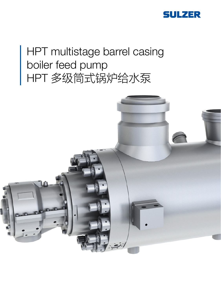

# HPT multistage barrel casing boiler feed pump HPT 多级筒式锅炉给水泵

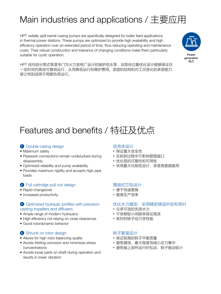## Main industries and applications / 主要应用

HPT radially split barrel-casing pumps are specifically designed for boiler feed applications in thermal power stations. These pumps are optimized to provide high availability and high efficiency operation over an extended period of time, thus reducing operating and maintenance costs. Their robust construction and tolerance of changing conditions make them particularly suitable for cyclic operation.



HPT 径向剖分筒式泵是专门为火力发电厂设计的锅炉给水泵,该泵经过最优化设计能够保证在 一定时间内高效可靠地运行,从而降低运行和维护费用。坚固的结构和对工况变化的承受能力 使之特别适用于周期负荷运行。

## Features and benefits / 特征及优点

#### **1** Double casing design

- Maximum safety
- Pipework connections remain undisturbed during disassembly
- Optimized reliability and pump availability
- Provides maximum rigidity and accepts high pipe loads

#### 2 Full cartridge pull-out design

- Rapid changeover
- Increased productivity

#### 3 Optimized hydraulic profiles with precision casting impellers and diffusers

- Ample range of modern hydraulics
- High efficiency not relying on close clearances
- Good rotordynamic behavior

#### 4 Shrunk on rotor design

- Allows for high rotor balancing quality
- Avoids fretting corrosion and minimizes stress concentrations
- Avoids loose parts on shaft during operation and results in lower vibration

#### 双壳体设计

- 保证最大安全性
- 在拆卸过程中不影响管路接口
- 优化泵的可靠性和可用性
- 采用最大化刚性设计,承受高管路载荷

#### 整抽式芯包设计

- 便于快速更换
- 提高生产效率

### 优化水力模型,采用精密铸造叶轮和导叶

- 众多可选的先进水力
- 不依赖较小间隙来保证高效
- 良好的转子动力学性能

#### 转子套装设计

- 保证较高的转子平衡质量
- 避免腐蚀, 最大程度地减小应力集中
- 避免轴上部件运行时松动, 转子振动较小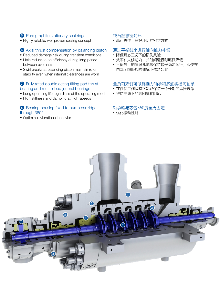#### **5** Pure graphite stationary seal rings

• Highly reliable, well proven sealing concept

### 6 Axial thrust compensation by balancing piston

- Reduced damage risk during transient conditions
- Little reduction on efficiency during long period between overhauls
- Swirl breaks at balancing piston maintain rotor stability even when internal clearances are worn

#### **7** Fully rated double acting tilting pad thrust bearing and multi lobed journal bearings

- Long operating life regardless of the operating mode
- High stiffness and damping at high speeds

#### 8 Bearing housing fixed to pump cartridge through 360°

• Optimized vibrational behavior

#### 纯石墨静密封环

• 高可靠性,良好证明的密封方式

### 通过平衡鼓来进行轴向推力补偿

- 降低瞬态工况下的损伤风险
- 效率在大修期内,长时间运行时略微降低
- 平衡鼓上的消涡孔能够保持转子稳定运行,即使在 内部间隙磨损的情况下依然如此

### 全负荷双侧可倾瓦推力轴承和多油楔径向轴承

- 在任何工作状态下都能保持一个长期的运行寿命
- 维持高速下的高刚度和阻尼

#### 轴承箱与芯包360度全周固定

• 优化振动性能

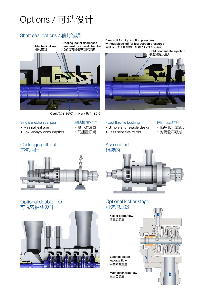# Options / 可选设计

### Shaft seal options / 轴封选项



Cool / 冷 (~60°C) Hot / 热 (~180°C)

单端机械密封 • 最小泄漏量 • 低能量损耗

#### Single mechanical seal

- Minimal leakage
- Low energy consumption

### Cartridge pull-out 芯包抽出



### Optional double ITO 可选双抽头设计



Bleed-off for high suction pressures; without bleed-off for low suction pressures 高吸入压力下的溢流,低吸入压力下无溢流



#### Fixed throttle bushing

- Simple and reliable design
- Less sensitive to dirt

#### 固定节流衬套

- 简单和可靠设计
- 对污物不敏感



### Optional kicker stage 可选增压级

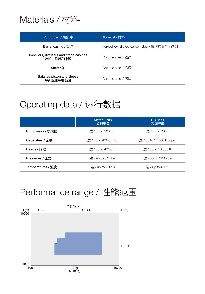## Materials / 材料

| Pump part / 泵部件                                    | Material / 材料                              |
|----------------------------------------------------|--------------------------------------------|
| Barrel casing / 筒体                                 | Forged low alloyed carbon steel / 锻造的低合金碳钢 |
| Impellers, diffusers and stage casings<br>叶轮、导叶和中段 | Chrome steel / 铬钢                          |
| Shaft / 轴                                          | Chrome steel / 铬钢                          |
| Balance piston and sleeve<br>平衡鼓和平衡鼓套              | Chrome steel / 铬钢                          |

# Operating data / 运行数据

|                   | <b>Metric units</b><br>公制单位       | <b>US units</b><br>美国单位 |
|-------------------|-----------------------------------|-------------------------|
| Pump sizes / 泵规格  | 达 / up to 500 mm                  | 达/up to 20 in.          |
| Capacities / 流量   | 达 / up to 4'000 m <sup>3</sup> /h | 达 / up to 17 600 USgpm  |
| Heads / 扬程        | 达 / up to 4'200 m                 | 达 / up to 13'800 ft.    |
| Pressures / 压力    | 达 / up to 545 bar                 | 达 / up to 7'905 psi     |
| Temperatures / 温度 | 达 / up to 220°C                   | 达 / up to 430°F         |

## Performance range / 性能范围